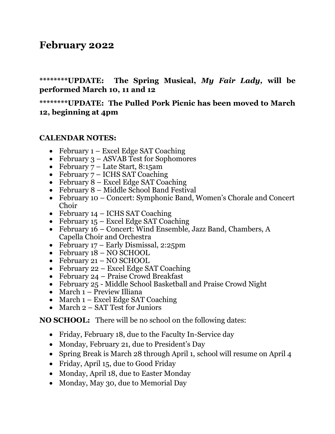# **February 2022**

**\*\*\*\*\*\*\*\*UPDATE: The Spring Musical,** *My Fair Lady,* **will be performed March 10, 11 and 12**

**\*\*\*\*\*\*\*\*UPDATE: The Pulled Pork Picnic has been moved to March 12, beginning at 4pm**

#### **CALENDAR NOTES:**

- February 1 Excel Edge SAT Coaching
- February 3 ASVAB Test for Sophomores
- February 7 Late Start, 8:15am
- February  $7 ICHS SAT$  Coaching
- February  $8$  Excel Edge SAT Coaching
- February 8 Middle School Band Festival
- February 10 Concert: Symphonic Band, Women's Chorale and Concert Choir
- February 14 ICHS SAT Coaching
- February 15 Excel Edge SAT Coaching
- February 16 Concert: Wind Ensemble, Jazz Band, Chambers, A Capella Choir and Orchestra
- February 17 Early Dismissal, 2:25pm
- February  $18 NO$  SCHOOL
- February 21 NO SCHOOL
- February 22 Excel Edge SAT Coaching
- February 24 Praise Crowd Breakfast
- February 25 Middle School Basketball and Praise Crowd Night
- March 1 Preview Illiana
- March 1 Excel Edge SAT Coaching
- March 2 SAT Test for Juniors

**NO SCHOOL:** There will be no school on the following dates:

- Friday, February 18, due to the Faculty In-Service day
- Monday, February 21, due to President's Day
- Spring Break is March 28 through April 1, school will resume on April 4
- Friday, April 15, due to Good Friday
- Monday, April 18, due to Easter Monday
- Monday, May 30, due to Memorial Day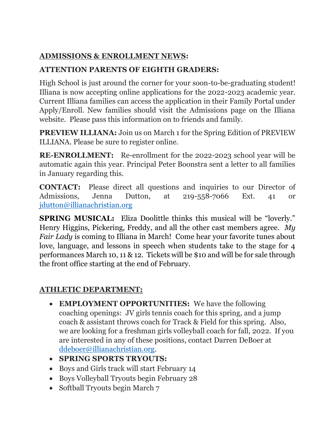#### **ADMISSIONS & ENROLLMENT NEWS:**

### **ATTENTION PARENTS OF EIGHTH GRADERS:**

High School is just around the corner for your soon-to-be-graduating student! Illiana is now accepting online applications for the 2022-2023 academic year. Current Illiana families can access the application in their Family Portal under Apply/Enroll. New families should visit the Admissions page on the Illiana website. Please pass this information on to friends and family.

**PREVIEW ILLIANA:** Join us on March 1 for the Spring Edition of PREVIEW ILLIANA. Please be sure to register online.

**RE-ENROLLMENT:** Re-enrollment for the 2022-2023 school year will be automatic again this year. Principal Peter Boonstra sent a letter to all families in January regarding this.

**CONTACT:** Please direct all questions and inquiries to our Director of Admissions, Jenna Dutton, at 219-558-7066 Ext. 41 or [jdutton@illianachristian.org](mailto:jdutton@illianachristian.org)

**SPRING MUSICAL:** Eliza Doolittle thinks this musical will be "loverly." Henry Higgins, Pickering, Freddy, and all the other cast members agree. *My Fair Lady* is coming to Illiana in March! Come hear your favorite tunes about love, language, and lessons in speech when students take to the stage for 4 performances March 10, 11 & 12. Tickets will be \$10 and will be for sale through the front office starting at the end of February.

## **ATHLETIC DEPARTMENT:**

- **EMPLOYMENT OPPORTUNITIES:** We have the following coaching openings: JV girls tennis coach for this spring, and a jump coach & assistant throws coach for Track & Field for this spring. Also, we are looking for a freshman girls volleyball coach for fall, 2022. If you are interested in any of these positions, contact Darren DeBoer at [ddeboer@illianachristian.org.](mailto:ddeboer@illianachristian.org)
- **SPRING SPORTS TRYOUTS:**
- Boys and Girls track will start February 14
- Boys Volleyball Tryouts begin February 28
- Softball Tryouts begin March 7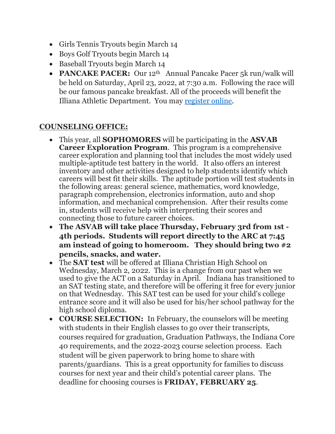- Girls Tennis Tryouts begin March 14
- Boys Golf Tryouts begin March 14
- Baseball Tryouts begin March 14
- **PANCAKE PACER:** Our 12<sup>th</sup> Annual Pancake Pacer 5k run/walk will be held on Saturday, April 23, 2022, at 7:30 a.m. Following the race will be our famous pancake breakfast. All of the proceeds will benefit the Illiana Athletic Department. You may [register online.](https://runsignup.com/Race/IN/Dyer/IllianaPancakePacer5kRunWalk)

#### **COUNSELING OFFICE:**

- This year, all **SOPHOMORES** will be participating in the **ASVAB Career Exploration Program**. This program is a comprehensive career exploration and planning tool that includes the most widely used multiple-aptitude test battery in the world. It also offers an interest inventory and other activities designed to help students identify which careers will best fit their skills. The aptitude portion will test students in the following areas: general science, mathematics, word knowledge, paragraph comprehension, electronics information, auto and shop information, and mechanical comprehension. After their results come in, students will receive help with interpreting their scores and connecting those to future career choices.
- **The ASVAB will take place Thursday, February 3rd from 1st - 4th periods. Students will report directly to the ARC at 7:45 am instead of going to homeroom. They should bring two #2 pencils, snacks, and water.**
- The **SAT test** will be offered at Illiana Christian High School on Wednesday, March 2, 2022. This is a change from our past when we used to give the ACT on a Saturday in April. Indiana has transitioned to an SAT testing state, and therefore will be offering it free for every junior on that Wednesday. This SAT test can be used for your child's college entrance score and it will also be used for his/her school pathway for the high school diploma.
- **COURSE SELECTION:** In February, the counselors will be meeting with students in their English classes to go over their transcripts, courses required for graduation, Graduation Pathways, the Indiana Core 40 requirements, and the 2022-2023 course selection process. Each student will be given paperwork to bring home to share with parents/guardians. This is a great opportunity for families to discuss courses for next year and their child's potential career plans. The deadline for choosing courses is **FRIDAY, FEBRUARY 25**.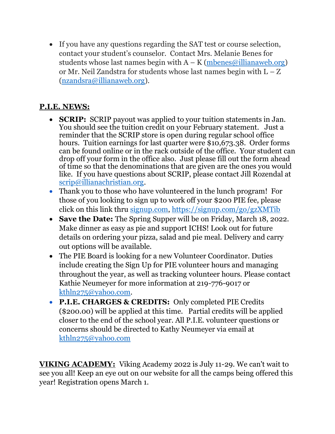• If you have any questions regarding the SAT test or course selection, contact your student's counselor. Contact Mrs. Melanie Benes for students whose last names begin with  $A - K$  [\(mbenes@illianaweb.org\)](mailto:mbenes@illianaweb.org) or Mr. Neil Zandstra for students whose last names begin with L – Z [\(nzandsra@illianaweb.org\)](mailto:nzandsra@illianaweb.org).

## **P.I.E. NEWS:**

- **SCRIP:** SCRIP payout was applied to your tuition statements in Jan. You should see the tuition credit on your February statement. Just a reminder that the SCRIP store is open during regular school office hours. Tuition earnings for last quarter were \$10,673,38. Order forms can be found online or in the rack outside of the office. Your student can drop off your form in the office also. Just please fill out the form ahead of time so that the denominations that are given are the ones you would like. If you have questions about SCRIP, please contact Jill Rozendal at [scrip@illianachristian.org.](mailto:scrip@illianachristian.org)
- Thank you to those who have volunteered in the lunch program! For those of you looking to sign up to work off your \$200 PIE fee, please click on this link thru [signup.com,](http://signup.com/)<https://signup.com/go/gzXMTib>
- **Save the Date:** The Spring Supper will be on Friday, March 18, 2022. Make dinner as easy as pie and support ICHS! Look out for future details on ordering your pizza, salad and pie meal. Delivery and carry out options will be available.
- The PIE Board is looking for a new Volunteer Coordinator. Duties include creating the Sign Up for PIE volunteer hours and managing throughout the year, as well as tracking volunteer hours. Please contact Kathie Neumeyer for more information at 219-776-9017 or [kthln275@yahoo.com.](http://kthln275@yahoo.com/)
- **P.I.E. CHARGES & CREDITS:** Only completed PIE Credits (\$200.00) will be applied at this time. Partial credits will be applied closer to the end of the school year. All P.I.E. volunteer questions or concerns should be directed to Kathy Neumeyer via email at [kthln275@yahoo.com](mailto:kthln275@yahoo.com)

**VIKING ACADEMY:** Viking Academy 2022 is July 11-29. We can't wait to see you all! Keep an eye out on our website for all the camps being offered this year! Registration opens March 1.